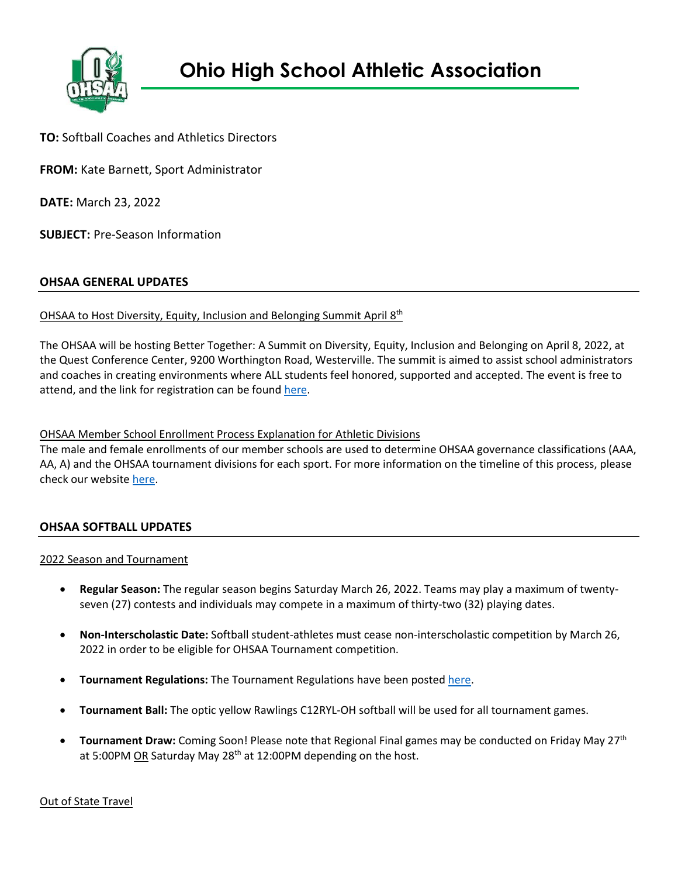

**TO:** Softball Coaches and Athletics Directors

**FROM:** Kate Barnett, Sport Administrator

**DATE:** March 23, 2022

**SUBJECT:** Pre-Season Information

# **OHSAA GENERAL UPDATES**

# OHSAA to Host Diversity, Equity, Inclusion and Belonging Summit April 8th

The OHSAA will be hosting Better Together: A Summit on Diversity, Equity, Inclusion and Belonging on April 8, 2022, at the Quest Conference Center, 9200 Worthington Road, Westerville. The summit is aimed to assist school administrators and coaches in creating environments where ALL students feel honored, supported and accepted. The event is free to attend, and the link for registration can be foun[d here.](https://www.ohsaa.org/meetings)

OHSAA Member School Enrollment Process Explanation for Athletic Divisions

The male and female enrollments of our member schools are used to determine OHSAA governance classifications (AAA, AA, A) and the OHSAA tournament divisions for each sport. For more information on the timeline of this process, please check our websit[e here.](https://www.ohsaa.org/school-resources/school-enrollment)

# **OHSAA SOFTBALL UPDATES**

### 2022 Season and Tournament

- **Regular Season:** The regular season begins Saturday March 26, 2022. Teams may play a maximum of twentyseven (27) contests and individuals may compete in a maximum of thirty-two (32) playing dates.
- **Non-Interscholastic Date:** Softball student-athletes must cease non-interscholastic competition by March 26, 2022 in order to be eligible for OHSAA Tournament competition.
- **Tournament Regulations:** The Tournament Regulations have been poste[d here.](https://ohsaaweb.blob.core.windows.net/files/Sports/Softball/2022/2022FastPitchSoftballTournamentRegs.pdf)
- **Tournament Ball:** The optic yellow Rawlings C12RYL-OH softball will be used for all tournament games.
- **Tournament Draw:** Coming Soon! Please note that Regional Final games may be conducted on Friday May 27<sup>th</sup> at 5:00PM OR Saturday May 28<sup>th</sup> at 12:00PM depending on the host.

Out of State Travel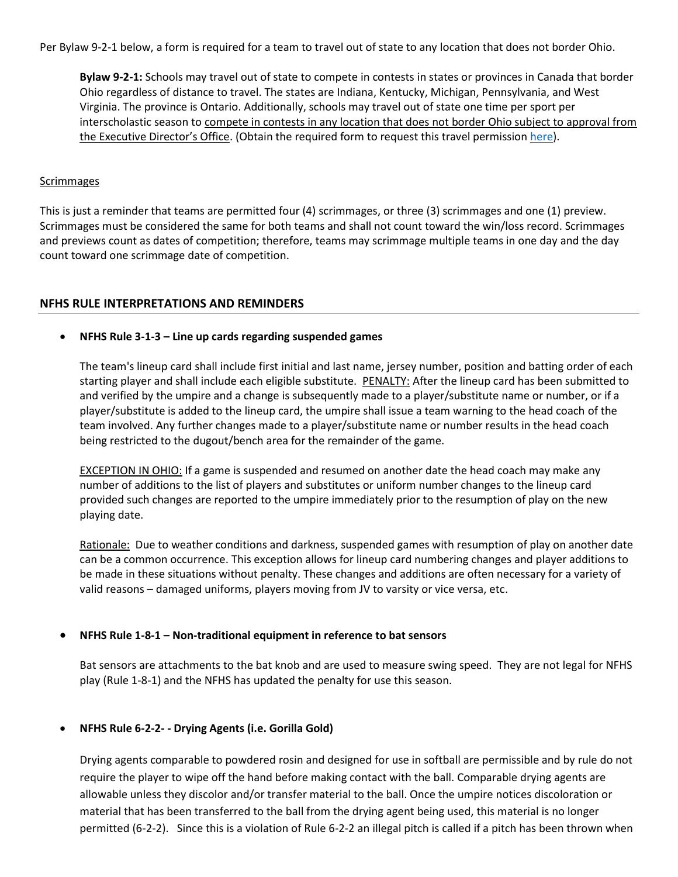Per Bylaw 9-2-1 below, a form is required for a team to travel out of state to any location that does not border Ohio.

**Bylaw 9-2-1:** Schools may travel out of state to compete in contests in states or provinces in Canada that border Ohio regardless of distance to travel. The states are Indiana, Kentucky, Michigan, Pennsylvania, and West Virginia. The province is Ontario. Additionally, schools may travel out of state one time per sport per interscholastic season to compete in contests in any location that does not border Ohio subject to approval from the Executive Director's Office. (Obtain the required form to request this travel permission [here\)](https://ohsaaweb.blob.core.windows.net/files/Eligibility/forms/NonBorderingStateApproval.pdf).

#### **Scrimmages**

This is just a reminder that teams are permitted four (4) scrimmages, or three (3) scrimmages and one (1) preview. Scrimmages must be considered the same for both teams and shall not count toward the win/loss record. Scrimmages and previews count as dates of competition; therefore, teams may scrimmage multiple teams in one day and the day count toward one scrimmage date of competition.

### **NFHS RULE INTERPRETATIONS AND REMINDERS**

### • **NFHS Rule 3-1-3 – Line up cards regarding suspended games**

The team's lineup card shall include first initial and last name, jersey number, position and batting order of each starting player and shall include each eligible substitute. PENALTY: After the lineup card has been submitted to and verified by the umpire and a change is subsequently made to a player/substitute name or number, or if a player/substitute is added to the lineup card, the umpire shall issue a team warning to the head coach of the team involved. Any further changes made to a player/substitute name or number results in the head coach being restricted to the dugout/bench area for the remainder of the game.

EXCEPTION IN OHIO: If a game is suspended and resumed on another date the head coach may make any number of additions to the list of players and substitutes or uniform number changes to the lineup card provided such changes are reported to the umpire immediately prior to the resumption of play on the new playing date.

Rationale: Due to weather conditions and darkness, suspended games with resumption of play on another date can be a common occurrence. This exception allows for lineup card numbering changes and player additions to be made in these situations without penalty. These changes and additions are often necessary for a variety of valid reasons – damaged uniforms, players moving from JV to varsity or vice versa, etc.

### • **NFHS Rule 1-8-1 – Non-traditional equipment in reference to bat sensors**

Bat sensors are attachments to the bat knob and are used to measure swing speed. They are not legal for NFHS play (Rule 1-8-1) and the NFHS has updated the penalty for use this season.

### • **NFHS Rule 6-2-2- - Drying Agents (i.e. Gorilla Gold)**

Drying agents comparable to powdered rosin and designed for use in softball are permissible and by rule do not require the player to wipe off the hand before making contact with the ball. Comparable drying agents are allowable unless they discolor and/or transfer material to the ball. Once the umpire notices discoloration or material that has been transferred to the ball from the drying agent being used, this material is no longer permitted (6-2-2). Since this is a violation of Rule 6-2-2 an illegal pitch is called if a pitch has been thrown when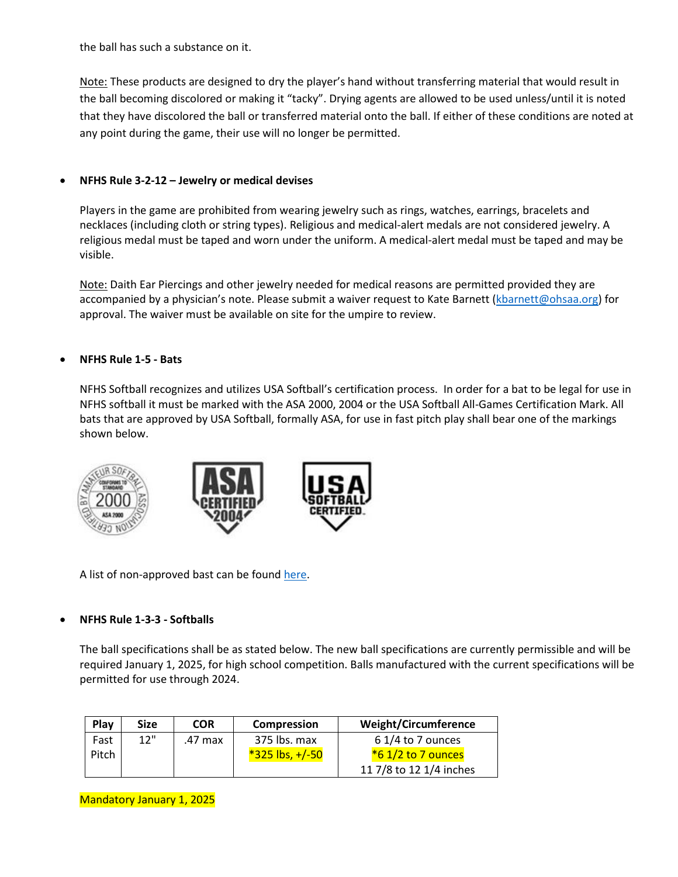the ball has such a substance on it.

Note: These products are designed to dry the player's hand without transferring material that would result in the ball becoming discolored or making it "tacky". Drying agents are allowed to be used unless/until it is noted that they have discolored the ball or transferred material onto the ball. If either of these conditions are noted at any point during the game, their use will no longer be permitted.

# • **NFHS Rule 3-2-12 – Jewelry or medical devises**

Players in the game are prohibited from wearing jewelry such as rings, watches, earrings, bracelets and necklaces (including cloth or string types). Religious and medical-alert medals are not considered jewelry. A religious medal must be taped and worn under the uniform. A medical-alert medal must be taped and may be visible.

Note: Daith Ear Piercings and other jewelry needed for medical reasons are permitted provided they are accompanied by a physician's note. Please submit a waiver request to Kate Barnett [\(kbarnett@ohsaa.org\)](mailto:kbarnett@ohsaa.org) for approval. The waiver must be available on site for the umpire to review.

# • **NFHS Rule 1-5 - Bats**

NFHS Softball recognizes and utilizes USA Softball's certification process. In order for a bat to be legal for use in NFHS softball it must be marked with the ASA 2000, 2004 or the USA Softball All-Games Certification Mark. All bats that are approved by USA Softball, formally ASA, for use in fast pitch play shall bear one of the markings shown below.



A list of non-approved bast can be found [here.](https://usa.asasoftball.com/e/BB1P2000.asp)

### • **NFHS Rule 1-3-3 - Softballs**

The ball specifications shall be as stated below. The new ball specifications are currently permissible and will be required January 1, 2025, for high school competition. Balls manufactured with the current specifications will be permitted for use through 2024.

| Play  | <b>Size</b> | <b>COR</b> | <b>Compression</b>  | <b>Weight/Circumference</b> |
|-------|-------------|------------|---------------------|-----------------------------|
| Fast  | 12"         | .47 max    | 375 lbs. max        | $61/4$ to 7 ounces          |
| Pitch |             |            | $*325$ lbs, $+/-50$ | $*6$ 1/2 to 7 ounces        |
|       |             |            |                     | 11 7/8 to 12 1/4 inches     |

Mandatory January 1, 2025